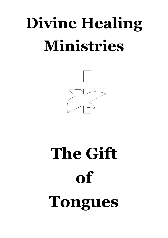## **Divine Healing Ministries**



# **The Gift of Tongues**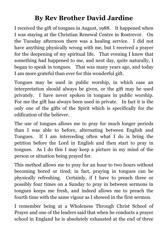## **By Rev Brother David Jardine**

I received the gift of tongues in August, 1988. It happened when I was staying at the Christian Renewal Centre in Rostrevor. On the Tuesday afternoon there was a healing service. I did not have anything physically wrong with me, but I received a prayer for the deepening of my spiritual life. That evening I knew that something had happened to me, and next day, quite naturally, I began to speak in tongues. That was many years ago, and today I am more grateful than ever for this wonderful gift.

Tongues may be used in public worship, in which case an interpretation should always be given, or the gift may be used privately. I have never spoken in tongues in public worship. For me the gift has always been used in private. In fact it is the only one of the gifts of the Spirit which is specifically for the edification of the believer.

The use of tongues allows me to pray for much longer periods than I was able to before, alternating between English and Tongues. If I am interceding often what I do is bring the petition before the Lord in English and then start to pray in tongues. As I do this I may keep a picture in my mind of the person or situation being prayed for.

This method allows me to pray for an hour to two hours without becoming bored or tired; in fact, praying in tongues can be physically refreshing. Certainly, if I have to preach three or possibly four times on a Sunday to pray in between sermons in tongues keeps me fresh, and indeed allows me to preach the fourth time with the same vigour as I showed in the first sermon.

I remember being at a Wholeness Through Christ School of Prayer and one of the leaders said that when he conducts a prayer school in England he is absolutely exhausted at the end of three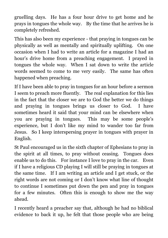gruelling days. He has a four hour drive to get home and he prays in tongues the whole way. By the time that he arrives he is completely refreshed.

This has also been my experience - that praying in tongues can be physically as well as mentally and spiritually uplifting. On one occasion when I had to write an article for a magazine I had an hour's drive home from a preaching engagement. I prayed in tongues the whole way. When I sat down to write the article words seemed to come to me very easily. The same has often happened when preaching.

If I have been able to pray in tongues for an hour before a sermon I seem to preach more fluently. The real explanation for this lies in the fact that the closer we are to God the better we do things and praying in tongues brings us closer to God. I have sometimes heard it said that your mind can be elsewhere when you are praying in tongues. This may be some people's experience, but I don't like my mind to wander too far from Jesus. So I keep interspersing prayer in tongues with prayer in English.

St Paul encouraged us in the sixth chapter of Ephesians to pray in the spirit at all times, to pray without ceasing. Tongues does enable us to do this. For instance I love to pray in the car. Even if I have a religious CD playing I will still be praying in tongues at the same time. If I am writing an article and I get stuck, or the right words are not coming or I don't know what line of thought to continue I sometimes put down the pen and pray in tongues for a few minutes. Often this is enough to show me the way ahead.

I recently heard a preacher say that, although he had no biblical evidence to back it up, he felt that those people who are being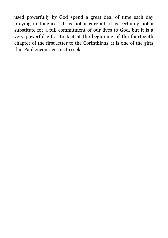used powerfully by God spend a great deal of time each day praying in tongues. It is not a cure-all; it is certainly not a substitute for a full commitment of our lives to God, but it is a very powerful gift. In fact at the beginning of the fourteenth chapter of the first letter to the Corinthians, it is one of the gifts that Paul encourages us to seek